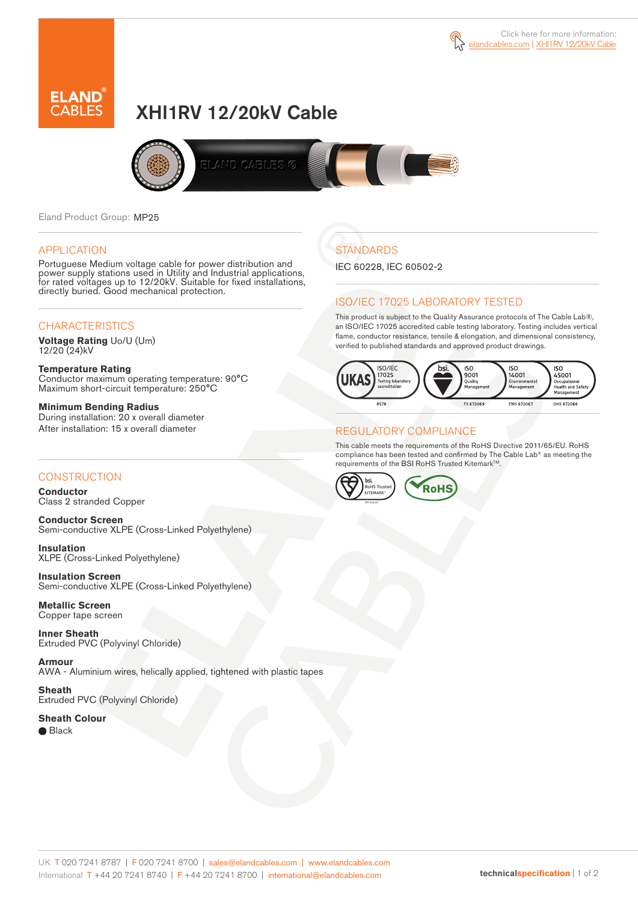



# XHI1RV 12/20kV Cable



Eland Product Group: MP25

#### APPLICATION

Portuguese Medium voltage cable for power distribution and power supply stations used in Utility and Industrial applications, for rated voltages up to 12/20kV. Suitable for fixed installations, directly buried. Good mechanical protection.

### **CHARACTERISTICS**

**Voltage Rating** Uo/U (Um) 12/20 (24)kV

**Temperature Rating** Conductor maximum operating temperature: 90°C Maximum short-circuit temperature: 250°C

**Minimum Bending Radius** During installation: 20 x overall diameter After installation: 15 x overall diameter

### **CONSTRUCTION**

**Conductor**  Class 2 stranded Copper

**Conductor Screen** Semi-conductive XLPE (Cross-Linked Polyethylene)

**Insulation** XLPE (Cross-Linked Polyethylene)

**Insulation Screen** Semi-conductive XLPE (Cross-Linked Polyethylene)

**Metallic Screen**  Copper tape screen

**Inner Sheath** Extruded PVC (Polyvinyl Chloride)

**Armour** AWA - Aluminium wires, helically applied, tightened with plastic tapes

**Sheath** Extruded PVC (Polyvinyl Chloride)

**Sheath Colour**  ● Black

## **STANDARDS**

IEC 60228, IEC 60502-2

### ISO/IEC 17025 LABORATORY TESTED

This product is subject to the Quality Assurance protocols of The Cable Lab®, an ISO/IEC 17025 accredited cable testing laboratory. Testing includes vertical flame, conductor resistance, tensile & elongation, and dimensional consistency, verified to published standards and approved product drawings.



### REGULATORY COMPLIANCE

This cable meets the requirements of the RoHS Directive 2011/65/EU. RoHS compliance has been tested and confirmed by The Cable Lab® as meeting the requirements of the BSI RoHS Trusted Kitemark™.